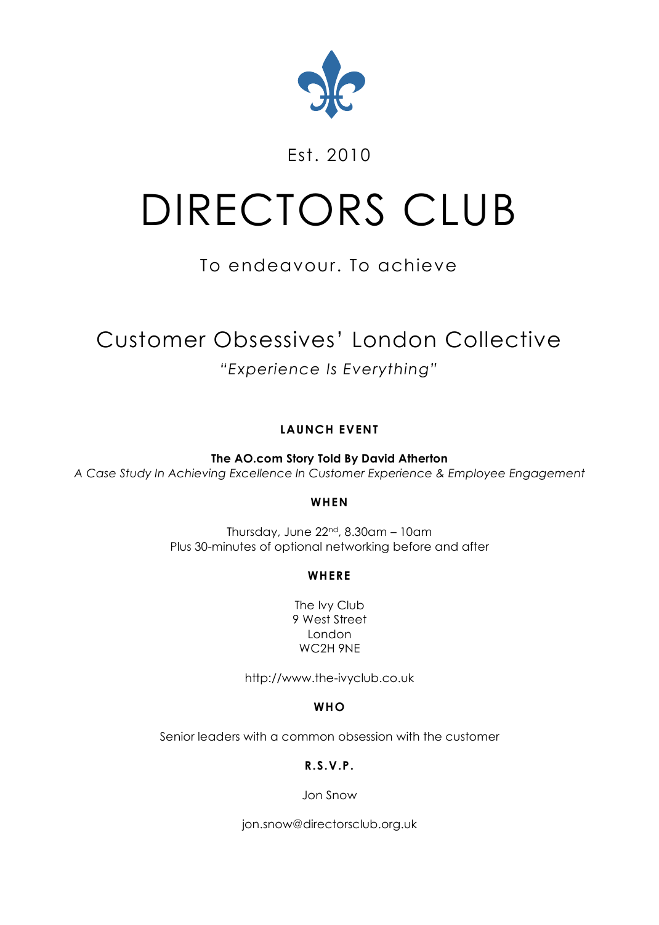

# Est. 2010

# DIRECTORS CLUB

# To endeavour. To achieve

# Customer Obsessives' London Collective *"Experience Is Everything"*

# **LAUNCH EVENT**

**The AO.com Story Told By David Atherton** *A Case Study In Achieving Excellence In Customer Experience & Employee Engagement*

# **WHEN**

Thursday, June  $22<sup>nd</sup>$ ,  $8.30$ am – 10am Plus 30-minutes of optional networking before and after

# **WHERE**

The Ivy Club 9 West Street London WC2H 9NE

http://www.the-ivyclub.co.uk

# **WHO**

Senior leaders with a common obsession with the customer

# **R.S.V.P.**

Jon Snow

jon.snow@directorsclub.org.uk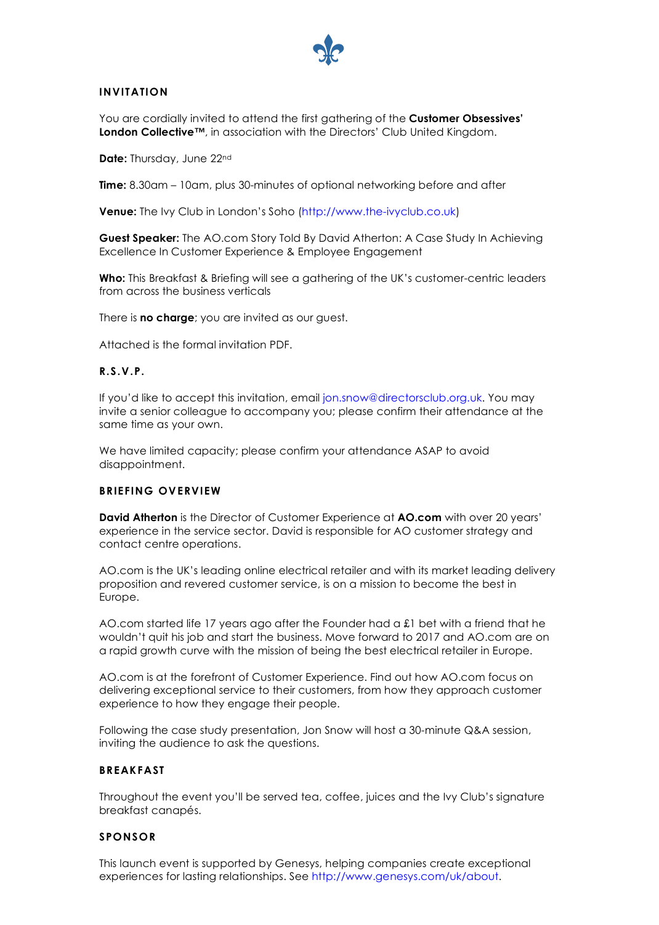

## **INVITATION**

You are cordially invited to attend the first gathering of the **Customer Obsessives' London Collective™**, in association with the Directors' Club United Kingdom.

**Date:** Thursday, June 22nd

**Time:** 8.30am – 10am, plus 30-minutes of optional networking before and after

**Venue:** The Ivy Club in London's Soho (http://www.the-ivyclub.co.uk)

**Guest Speaker:** The AO.com Story Told By David Atherton: A Case Study In Achieving Excellence In Customer Experience & Employee Engagement

**Who:** This Breakfast & Briefing will see a gathering of the UK's customer-centric leaders from across the business verticals

There is **no charge**; you are invited as our guest.

Attached is the formal invitation PDF.

#### **R.S.V.P.**

If you'd like to accept this invitation, email jon.snow@directorsclub.org.uk. You may invite a senior colleague to accompany you; please confirm their attendance at the same time as your own.

We have limited capacity; please confirm your attendance ASAP to avoid disappointment.

#### **BRIEFING OVERVIEW**

**David Atherton** is the Director of Customer Experience at **AO.com** with over 20 years' experience in the service sector. David is responsible for AO customer strategy and contact centre operations.

AO.com is the UK's leading online electrical retailer and with its market leading delivery proposition and revered customer service, is on a mission to become the best in Europe.

AO.com started life 17 years ago after the Founder had a £1 bet with a friend that he wouldn't quit his job and start the business. Move forward to 2017 and AO.com are on a rapid growth curve with the mission of being the best electrical retailer in Europe.

AO.com is at the forefront of Customer Experience. Find out how AO.com focus on delivering exceptional service to their customers, from how they approach customer experience to how they engage their people.

Following the case study presentation, Jon Snow will host a 30-minute Q&A session, inviting the audience to ask the questions.

#### **BREAKFAST**

Throughout the event you'll be served tea, coffee, juices and the Ivy Club's signature breakfast canapés.

#### **SPONSOR**

This launch event is supported by Genesys, helping companies create exceptional experiences for lasting relationships. See http://www.genesys.com/uk/about.